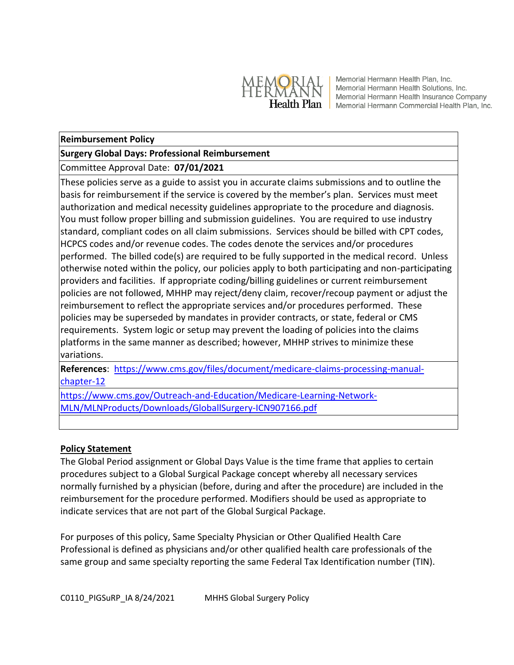

Memorial Hermann Health Plan, Inc. Memorial Hermann Health Solutions, Inc. Memorial Hermann Health Insurance Company Health Plan Memorial Hermann Commercial Health Plan, Inc.

#### **Reimbursement Policy**

#### **Surgery Global Days: Professional Reimbursement**

### Committee Approval Date: **07/01/2021**

These policies serve as a guide to assist you in accurate claims submissions and to outline the basis for reimbursement if the service is covered by the member's plan. Services must meet authorization and medical necessity guidelines appropriate to the procedure and diagnosis. You must follow proper billing and submission guidelines. You are required to use industry standard, compliant codes on all claim submissions. Services should be billed with CPT codes, HCPCS codes and/or revenue codes. The codes denote the services and/or procedures performed. The billed code(s) are required to be fully supported in the medical record. Unless otherwise noted within the policy, our policies apply to both participating and non-participating providers and facilities. If appropriate coding/billing guidelines or current reimbursement policies are not followed, MHHP may reject/deny claim, recover/recoup payment or adjust the reimbursement to reflect the appropriate services and/or procedures performed. These policies may be superseded by mandates in provider contracts, or state, federal or CMS requirements. System logic or setup may prevent the loading of policies into the claims platforms in the same manner as described; however, MHHP strives to minimize these variations.

**References**: [https://www.cms.gov/files/document/medicare-claims-processing-manual](https://www.cms.gov/files/document/medicare-claims-processing-manual-chapter-12)[chapter-12](https://www.cms.gov/files/document/medicare-claims-processing-manual-chapter-12)

[https://www.cms.gov/Outreach-and-Education/Medicare-Learning-Network-](https://www.cms.gov/Outreach-and-Education/Medicare-Learning-Network-MLN/MLNProducts/Downloads/GloballSurgery-ICN907166.pdf)[MLN/MLNProducts/Downloads/GloballSurgery-ICN907166.pdf](https://www.cms.gov/Outreach-and-Education/Medicare-Learning-Network-MLN/MLNProducts/Downloads/GloballSurgery-ICN907166.pdf)

#### **Policy Statement**

The Global Period assignment or Global Days Value is the time frame that applies to certain procedures subject to a Global Surgical Package concept whereby all necessary services normally furnished by a physician (before, during and after the procedure) are included in the reimbursement for the procedure performed. Modifiers should be used as appropriate to indicate services that are not part of the Global Surgical Package.

For purposes of this policy, Same Specialty Physician or Other Qualified Health Care Professional is defined as physicians and/or other qualified health care professionals of the same group and same specialty reporting the same Federal Tax Identification number (TIN).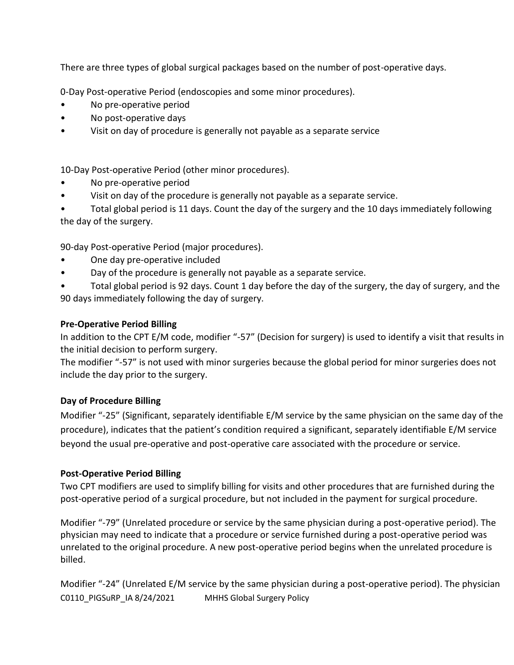There are three types of global surgical packages based on the number of post-operative days.

0-Day Post-operative Period (endoscopies and some minor procedures).

- No pre-operative period
- No post-operative days
- Visit on day of procedure is generally not payable as a separate service

10-Day Post-operative Period (other minor procedures).

- No pre-operative period
- Visit on day of the procedure is generally not payable as a separate service.

• Total global period is 11 days. Count the day of the surgery and the 10 days immediately following the day of the surgery.

90-day Post-operative Period (major procedures).

- One day pre-operative included
- Day of the procedure is generally not payable as a separate service.
- Total global period is 92 days. Count 1 day before the day of the surgery, the day of surgery, and the 90 days immediately following the day of surgery.

# **Pre-Operative Period Billing**

In addition to the CPT E/M code, modifier "-57" (Decision for surgery) is used to identify a visit that results in the initial decision to perform surgery.

The modifier "-57" is not used with minor surgeries because the global period for minor surgeries does not include the day prior to the surgery.

## **Day of Procedure Billing**

Modifier "-25" (Significant, separately identifiable E/M service by the same physician on the same day of the procedure), indicates that the patient's condition required a significant, separately identifiable E/M service beyond the usual pre-operative and post-operative care associated with the procedure or service.

## **Post-Operative Period Billing**

Two CPT modifiers are used to simplify billing for visits and other procedures that are furnished during the post-operative period of a surgical procedure, but not included in the payment for surgical procedure.

Modifier "-79" (Unrelated procedure or service by the same physician during a post-operative period). The physician may need to indicate that a procedure or service furnished during a post-operative period was unrelated to the original procedure. A new post-operative period begins when the unrelated procedure is billed.

C0110\_PIGSuRP\_IA 8/24/2021 MHHS Global Surgery Policy Modifier "-24" (Unrelated E/M service by the same physician during a post-operative period). The physician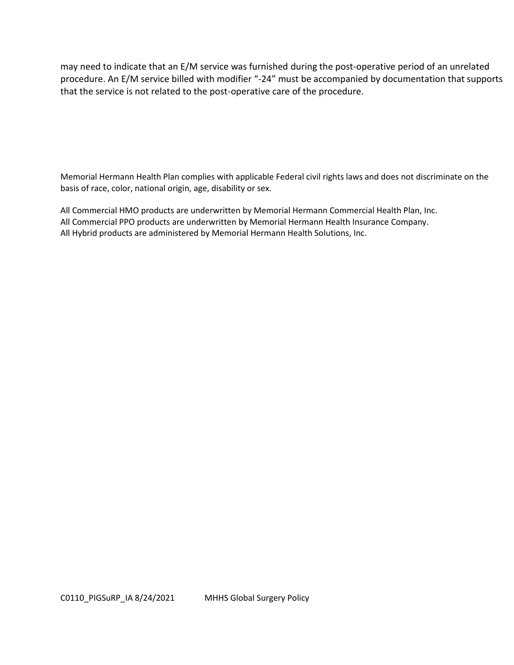may need to indicate that an E/M service was furnished during the post-operative period of an unrelated procedure. An E/M service billed with modifier "-24" must be accompanied by documentation that supports that the service is not related to the post-operative care of the procedure.

Memorial Hermann Health Plan complies with applicable Federal civil rights laws and does not discriminate on the basis of race, color, national origin, age, disability or sex.

All Commercial HMO products are underwritten by Memorial Hermann Commercial Health Plan, Inc. All Commercial PPO products are underwritten by Memorial Hermann Health Insurance Company. All Hybrid products are administered by Memorial Hermann Health Solutions, Inc.